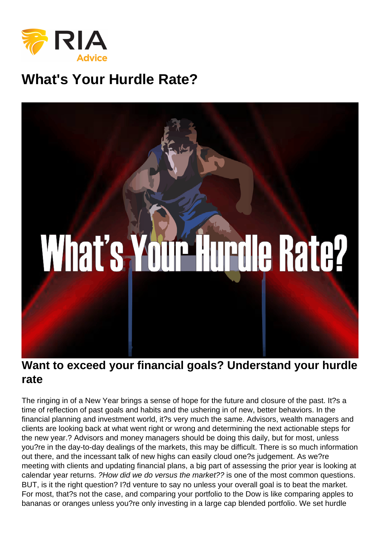## What's Your Hurdle Rate?

## Want to exceed your financial goals? Understand your hurdle rate

The ringing in of a New Year brings a sense of hope for the future and closure of the past. It?s a time of reflection of past goals and habits and the ushering in of new, better behaviors. In the financial planning and investment world, it?s very much the same. Advisors, wealth managers and clients are looking back at what went right or wrong and determining the next actionable steps for the new year.? Advisors and money managers should be doing this daily, but for most, unless you?re in the day-to-day dealings of the markets, this may be difficult. There is so much information out there, and the incessant talk of new highs can easily cloud one?s judgement. As we?re meeting with clients and updating financial plans, a big part of assessing the prior year is looking at calendar year returns. ?How did we do versus the market?? is one of the most common questions. BUT, is it the right question? I?d venture to say no unless your overall goal is to beat the market. For most, that?s not the case, and comparing your portfolio to the Dow is like comparing apples to bananas or oranges unless you?re only investing in a large cap blended portfolio. We set hurdle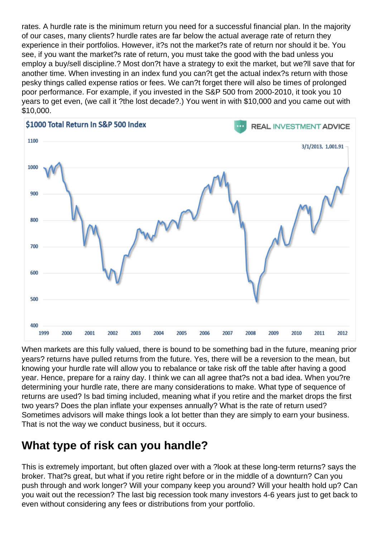rates. A hurdle rate is the minimum return you need for a successful financial plan. In the majority of our cases, many clients? hurdle rates are far below the actual average rate of return they experience in their portfolios. However, it?s not the market?s rate of return nor should it be. You see, if you want the market?s rate of return, you must take the good with the bad unless you employ a buy/sell discipline.? Most don?t have a strategy to exit the market, but we?ll save that for another time. When investing in an index fund you can?t get the actual index?s return with those pesky things called expense ratios or fees. We can?t forget there will also be times of prolonged poor performance. For example, if you invested in the S&P 500 from 2000-2010, it took you 10 years to get even, (we call it ?the lost decade?.) You went in with \$10,000 and you came out with \$10,000.

When markets are this fully valued, there is bound to be something bad in the future, meaning prior years? returns have pulled returns from the future. Yes, there will be a reversion to the mean, but knowing your hurdle rate will allow you to rebalance or take risk off the table after having a good year. Hence, prepare for a rainy day. I think we can all agree that?s not a bad idea. When you?re determining your hurdle rate, there are many considerations to make. What type of sequence of returns are used? Is bad timing included, meaning what if you retire and the market drops the first two years? Does the plan inflate your expenses annually? What is the rate of return used? Sometimes advisors will make things look a lot better than they are simply to earn your business. That is not the way we conduct business, but it occurs.

## What type of risk can you handle?

This is extremely important, but often glazed over with a ?look at these long-term returns? says the broker. That?s great, but what if you retire right before or in the middle of a downturn? Can you push through and work longer? Will your company keep you around? Will your health hold up? Can you wait out the recession? The last big recession took many investors 4-6 years just to get back to even without considering any fees or distributions from your portfolio.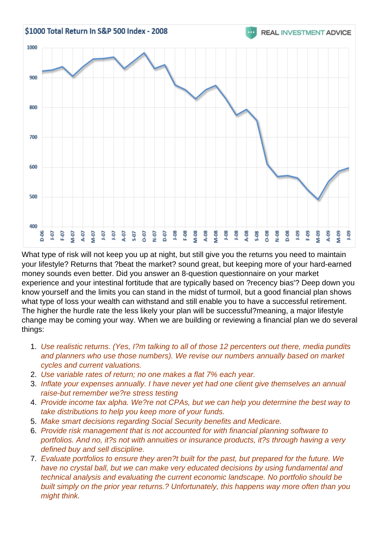What type of risk will not keep you up at night, but still give you the returns you need to maintain your lifestyle? Returns that ?beat the market? sound great, but keeping more of your hard-earned money sounds even better. Did you answer an 8-question questionnaire on your market experience and your intestinal fortitude that are typically based on ?recency bias'? Deep down you know yourself and the limits you can stand in the midst of turmoil, but a good financial plan shows what type of loss your wealth can withstand and still enable you to have a successful retirement. The higher the hurdle rate the less likely your plan will be successful?meaning, a major lifestyle change may be coming your way. When we are building or reviewing a financial plan we do several things:

- 1. Use realistic returns. (Yes, I?m talking to all of those 12 percenters out there, media pundits and planners who use those numbers). We revise our numbers annually based on market cycles and current valuations.
- 2. Use variable rates of return; no one makes a flat 7% each year.
- 3. Inflate your expenses annually. I have never yet had one client give themselves an annual raise-but remember we?re stress testing
- 4. Provide income tax alpha. We?re not CPAs, but we can help you determine the best way to take distributions to help you keep more of your funds.
- 5. Make smart decisions regarding Social Security benefits and Medicare.
- 6. Provide risk management that is not accounted for with financial planning software to portfolios. And no, it?s not with annuities or insurance products, it?s through having a very defined buy and sell discipline.
- 7. Evaluate portfolios to ensure they aren?t built for the past, but prepared for the future. We have no crystal ball, but we can make very educated decisions by using fundamental and technical analysis and evaluating the current economic landscape. No portfolio should be built simply on the prior year returns.? Unfortunately, this happens way more often than you might think.